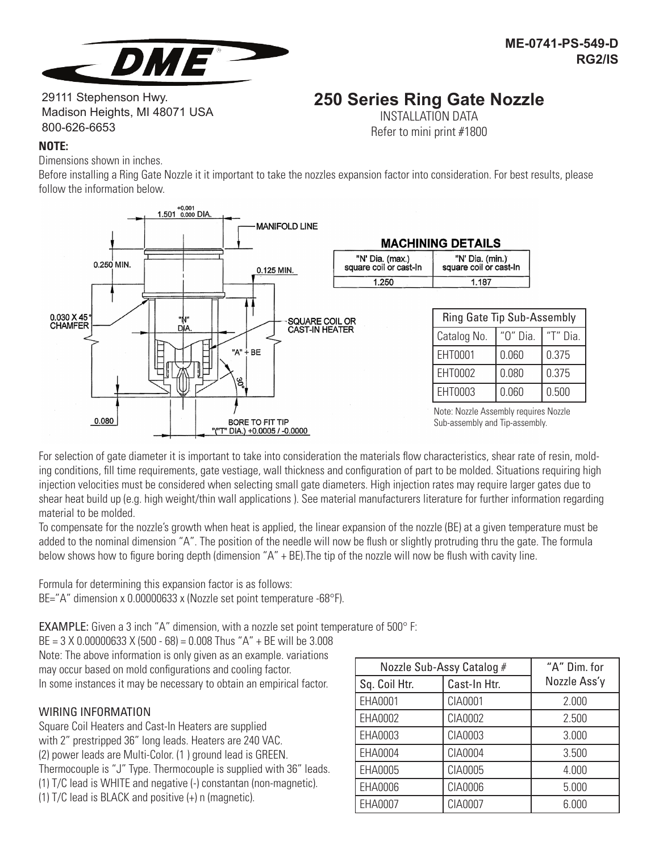

# **250 Series Ring Gate Nozzle**

29111 Stephenson Hwy. Madison Heights, MI 48071 USA 800-626-6653

INSTALLATION DATA Refer to mini print #1800

## **NOTE:**

Dimensions shown in inches.

Before installing a Ring Gate Nozzle it it important to take the nozzles expansion factor into consideration. For best results, please follow the information below.



For selection of gate diameter it is important to take into consideration the materials flow characteristics, shear rate of resin, molding conditions, fill time requirements, gate vestiage, wall thickness and configuration of part to be molded. Situations requiring high injection velocities must be considered when selecting small gate diameters. High injection rates may require larger gates due to shear heat build up (e.g. high weight/thin wall applications ). See material manufacturers literature for further information regarding material to be molded.

To compensate for the nozzle's growth when heat is applied, the linear expansion of the nozzle (BE) at a given temperature must be added to the nominal dimension "A". The position of the needle will now be flush or slightly protruding thru the gate. The formula below shows how to figure boring depth (dimension "A" + BE).The tip of the nozzle will now be flush with cavity line.

Formula for determining this expansion factor is as follows:

BE="A" dimension x 0.00000633 x (Nozzle set point temperature -68°F).

EXAMPLE: Given a 3 inch "A" dimension, with a nozzle set point temperature of 500° F:

BE = 3 X 0.00000633 X (500 - 68) = 0.008 Thus "A" + BE will be 3.008 Note: The above information is only given as an example. variations may occur based on mold configurations and cooling factor. In some instances it may be necessary to obtain an empirical factor.

# WIRING INFORMATION

Square Coil Heaters and Cast-In Heaters are supplied with 2" prestripped 36" long leads. Heaters are 240 VAC. (2) power leads are Multi-Color. (1 ) ground lead is GREEN. Thermocouple is "J" Type. Thermocouple is supplied with 36" leads. (1) T/C lead is WHITE and negative (-) constantan (non-magnetic). (1) T/C lead is BLACK and positive (+) n (magnetic).

| Nozzle Sub-Assy Catalog # |              | "A" Dim. for |
|---------------------------|--------------|--------------|
| Sq. Coil Htr.             | Cast-In Htr. | Nozzle Ass'y |
| EHA0001                   | CIA0001      | 2.000        |
| EHA0002                   | CIA0002      | 2.500        |
| EHA0003                   | CIA0003      | 3.000        |
| EHA0004                   | CIA0004      | 3.500        |
| EHA0005                   | CIA0005      | 4.000        |
| EHA0006                   | CIA0006      | 5.000        |
| EHA0007                   | CIA0007      | 6.000        |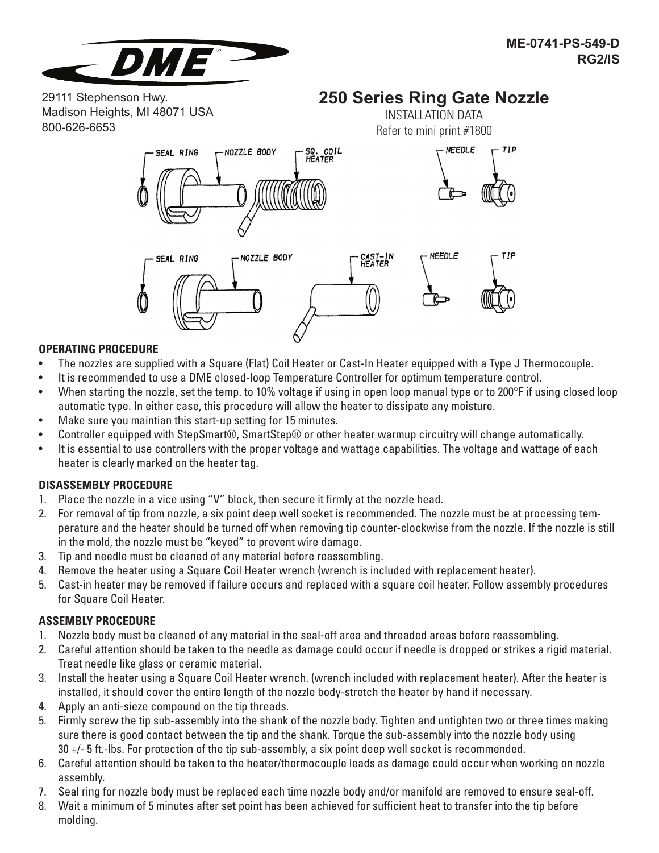

29111 Stephenson Hwy. Madison Heights, MI 48071 USA 800-626-6653

# **250 Series Ring Gate Nozzle** INSTALLATION DATA



#### **OPERATING PROCEDURE**

- The nozzles are supplied with a Square (Flat) Coil Heater or Cast-In Heater equipped with a Type J Thermocouple.
- It is recommended to use a DME closed-loop Temperature Controller for optimum temperature control.
- When starting the nozzle, set the temp. to 10% voltage if using in open loop manual type or to 200°F if using closed loop automatic type. In either case, this procedure will allow the heater to dissipate any moisture.
- Make sure you maintian this start-up setting for 15 minutes.
- Controller equipped with StepSmart®, SmartStep® or other heater warmup circuitry will change automatically.
- It is essential to use controllers with the proper voltage and wattage capabilities. The voltage and wattage of each heater is clearly marked on the heater tag.

#### **DISASSEMBLY PROCEDURE**

- 1. Place the nozzle in a vice using "V" block, then secure it firmly at the nozzle head.
- 2. For removal of tip from nozzle, a six point deep well socket is recommended. The nozzle must be at processing temperature and the heater should be turned off when removing tip counter-clockwise from the nozzle. If the nozzle is still in the mold, the nozzle must be "keyed" to prevent wire damage.
- 3. Tip and needle must be cleaned of any material before reassembling.
- 4. Remove the heater using a Square Coil Heater wrench (wrench is included with replacement heater).
- 5. Cast-in heater may be removed if failure occurs and replaced with a square coil heater. Follow assembly procedures for Square Coil Heater.

#### **ASSEMBLY PROCEDURE**

- 1. Nozzle body must be cleaned of any material in the seal-off area and threaded areas before reassembling.
- 2. Careful attention should be taken to the needle as damage could occur if needle is dropped or strikes a rigid material. Treat needle like glass or ceramic material.
- 3. Install the heater using a Square Coil Heater wrench. (wrench included with replacement heater). After the heater is installed, it should cover the entire length of the nozzle body-stretch the heater by hand if necessary.
- 4. Apply an anti-sieze compound on the tip threads.
- 5. Firmly screw the tip sub-assembly into the shank of the nozzle body. Tighten and untighten two or three times making sure there is good contact between the tip and the shank. Torque the sub-assembly into the nozzle body using 30 +/- 5 ft.-lbs. For protection of the tip sub-assembly, a six point deep well socket is recommended.
- 6. Careful attention should be taken to the heater/thermocouple leads as damage could occur when working on nozzle assembly.
- 7. Seal ring for nozzle body must be replaced each time nozzle body and/or manifold are removed to ensure seal-off.
- 8. Wait a minimum of 5 minutes after set point has been achieved for sufficient heat to transfer into the tip before molding.